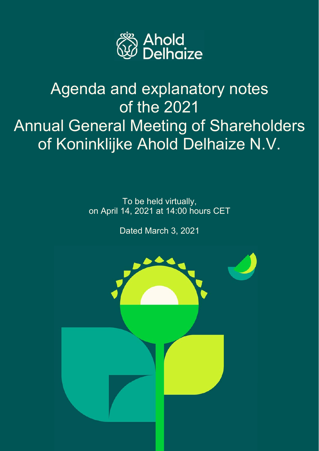

# Agenda and explanatory notes of the 2021 Annual General Meeting of Shareholders of Koninklijke Ahold Delhaize N.V.

To be held virtually, on April 14, 2021 at 14:00 hours CET

Dated March 3, 2021

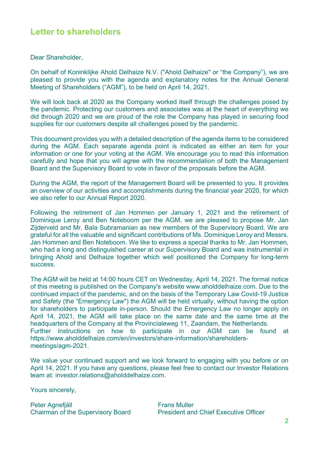### **Letter to shareholders**

Dear Shareholder,

On behalf of Koninklijke Ahold Delhaize N.V. ("Ahold Delhaize" or "the Company"), we are pleased to provide you with the agenda and explanatory notes for the Annual General Meeting of Shareholders ("AGM"), to be held on April 14, 2021.

We will look back at 2020 as the Company worked itself through the challenges posed by the pandemic. Protecting our customers and associates was at the heart of everything we did through 2020 and we are proud of the role the Company has played in securing food supplies for our customers despite all challenges posed by the pandemic.

This document provides you with a detailed description of the agenda items to be considered during the AGM. Each separate agenda point is indicated as either an item for your information or one for your voting at the AGM. We encourage you to read this information carefully and hope that you will agree with the recommendation of both the Management Board and the Supervisory Board to vote in favor of the proposals before the AGM.

During the AGM, the report of the Management Board will be presented to you. It provides an overview of our activities and accomplishments during the financial year 2020, for which we also refer to our Annual Report 2020.

Following the retirement of Jan Hommen per January 1, 2021 and the retirement of Dominique Leroy and Ben Noteboom per the AGM, we are pleased to propose Mr. Jan Zijderveld and Mr. Bala Subramanian as new members of the Supervisory Board. We are grateful for all the valuable and significant contributions of Ms. Dominique Leroy and Messrs. Jan Hommen and Ben Noteboom. We like to express a special thanks to Mr. Jan Hommen, who had a long and distinguished career at our Supervisory Board and was instrumental in bringing Ahold and Delhaize together which well positioned the Company for long-term success.

The AGM will be held at 14:00 hours CET on Wednesday, April 14, 2021. The formal notice of this meeting is published on the Company's website www.aholddelhaize.com. Due to the continued impact of the pandemic, and on the basis of the Temporary Law Covid-19 Justice and Safety (the "Emergency Law") the AGM will be held virtually, without having the option for shareholders to participate in-person. Should the Emergency Law no longer apply on April 14, 2021, the AGM will take place on the same date and the same time at the headquarters of the Company at the Provincialeweg 11, Zaandam, the Netherlands. Further instructions on how to participate in our AGM can be found at https://www.aholddelhaize.com/en/investors/share-information/shareholdersmeetings/agm-2021.

We value your continued support and we look forward to engaging with you before or on April 14, 2021. If you have any questions, please feel free to contact our Investor Relations team at: investor.relations@aholddelhaize.com.

Yours sincerely,

Peter Agnefjäll Frans Muller

Chairman of the Supervisory Board President and Chief Executive Officer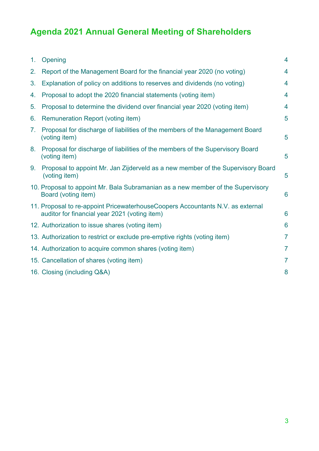# **Agenda 2021 Annual General Meeting of Shareholders**

| 1. | Opening                                                                                                                          | 4                       |
|----|----------------------------------------------------------------------------------------------------------------------------------|-------------------------|
| 2. | Report of the Management Board for the financial year 2020 (no voting)                                                           | 4                       |
| 3. | Explanation of policy on additions to reserves and dividends (no voting)                                                         | $\overline{4}$          |
| 4. | Proposal to adopt the 2020 financial statements (voting item)                                                                    | $\overline{4}$          |
| 5. | Proposal to determine the dividend over financial year 2020 (voting item)                                                        | $\overline{\mathbf{4}}$ |
| 6. | <b>Remuneration Report (voting item)</b>                                                                                         | 5                       |
| 7. | Proposal for discharge of liabilities of the members of the Management Board<br>(voting item)                                    | 5                       |
| 8. | Proposal for discharge of liabilities of the members of the Supervisory Board<br>(voting item)                                   | 5                       |
| 9. | Proposal to appoint Mr. Jan Zijderveld as a new member of the Supervisory Board<br>(voting item)                                 | 5                       |
|    | 10. Proposal to appoint Mr. Bala Subramanian as a new member of the Supervisory<br>Board (voting item)                           | 6                       |
|    | 11. Proposal to re-appoint Pricewaterhouse Coopers Accountants N.V. as external<br>auditor for financial year 2021 (voting item) | 6                       |
|    | 12. Authorization to issue shares (voting item)                                                                                  | 6                       |
|    | 13. Authorization to restrict or exclude pre-emptive rights (voting item)                                                        | $\overline{7}$          |
|    | 14. Authorization to acquire common shares (voting item)                                                                         | $\overline{7}$          |
|    | 15. Cancellation of shares (voting item)                                                                                         | $\overline{7}$          |
|    | 16. Closing (including Q&A)                                                                                                      | 8                       |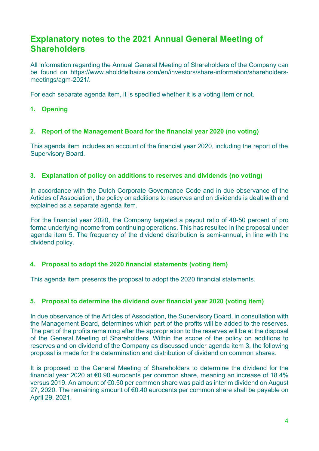## **Explanatory notes to the 2021 Annual General Meeting of Shareholders**

All information regarding the Annual General Meeting of Shareholders of the Company can be found on https://www.aholddelhaize.com/en/investors/share-information/shareholdersmeetings/agm-2021/.

For each separate agenda item, it is specified whether it is a voting item or not.

**1. Opening** 

#### **2. Report of the Management Board for the financial year 2020 (no voting)**

This agenda item includes an account of the financial year 2020, including the report of the Supervisory Board.

#### **3. Explanation of policy on additions to reserves and dividends (no voting)**

In accordance with the Dutch Corporate Governance Code and in due observance of the Articles of Association, the policy on additions to reserves and on dividends is dealt with and explained as a separate agenda item.

For the financial year 2020, the Company targeted a payout ratio of 40-50 percent of pro forma underlying income from continuing operations. This has resulted in the proposal under agenda item 5. The frequency of the dividend distribution is semi-annual, in line with the dividend policy.

#### **4. Proposal to adopt the 2020 financial statements (voting item)**

This agenda item presents the proposal to adopt the 2020 financial statements.

#### **5. Proposal to determine the dividend over financial year 2020 (voting item)**

In due observance of the Articles of Association, the Supervisory Board, in consultation with the Management Board, determines which part of the profits will be added to the reserves. The part of the profits remaining after the appropriation to the reserves will be at the disposal of the General Meeting of Shareholders. Within the scope of the policy on additions to reserves and on dividend of the Company as discussed under agenda item 3, the following proposal is made for the determination and distribution of dividend on common shares.

It is proposed to the General Meeting of Shareholders to determine the dividend for the financial year 2020 at €0.90 eurocents per common share, meaning an increase of 18.4% versus 2019. An amount of €0.50 per common share was paid as interim dividend on August 27, 2020. The remaining amount of €0.40 eurocents per common share shall be payable on April 29, 2021.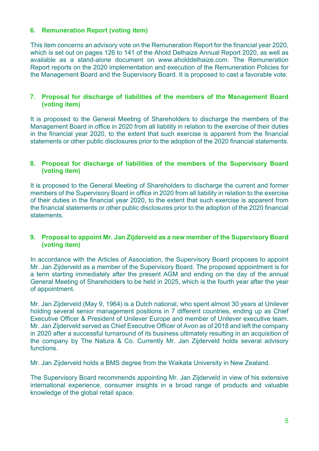#### **6. Remuneration Report (voting item)**

This item concerns an advisory vote on the Remuneration Report for the financial year 2020, which is set out on pages 126 to 141 of the Ahold Delhaize Annual Report 2020, as well as available as a stand-alone document on www.aholddelhaize.com. The Remuneration Report reports on the 2020 implementation and execution of the Remuneration Policies for the Management Board and the Supervisory Board. It is proposed to cast a favorable vote.

#### **7. Proposal for discharge of liabilities of the members of the Management Board (voting item)**

It is proposed to the General Meeting of Shareholders to discharge the members of the Management Board in office in 2020 from all liability in relation to the exercise of their duties in the financial year 2020, to the extent that such exercise is apparent from the financial statements or other public disclosures prior to the adoption of the 2020 financial statements.

#### **8. Proposal for discharge of liabilities of the members of the Supervisory Board (voting item)**

It is proposed to the General Meeting of Shareholders to discharge the current and former members of the Supervisory Board in office in 2020 from all liability in relation to the exercise of their duties in the financial year 2020, to the extent that such exercise is apparent from the financial statements or other public disclosures prior to the adoption of the 2020 financial **statements** 

#### **9. Proposal to appoint Mr. Jan Zijderveld as a new member of the Supervisory Board (voting item)**

In accordance with the Articles of Association, the Supervisory Board proposes to appoint Mr. Jan Zijderveld as a member of the Supervisory Board. The proposed appointment is for a term starting immediately after the present AGM and ending on the day of the annual General Meeting of Shareholders to be held in 2025, which is the fourth year after the year of appointment.

Mr. Jan Zijderveld (May 9, 1964) is a Dutch national, who spent almost 30 years at Unilever holding several senior management positions in 7 different countries, ending up as Chief Executive Officer & President of Unilever Europe and member of Unilever executive team. Mr. Jan Zijderveld served as Chief Executive Officer of Avon as of 2018 and left the company in 2020 after a successful turnaround of its business ultimately resulting in an acquisition of the company by The Natura & Co. Currently Mr. Jan Zijderveld holds several advisory functions.

Mr. Jan Zijderveld holds a BMS degree from the Waikata University in New Zealand.

The Supervisory Board recommends appointing Mr. Jan Zijderveld in view of his extensive international experience, consumer insights in a broad range of products and valuable knowledge of the global retail space.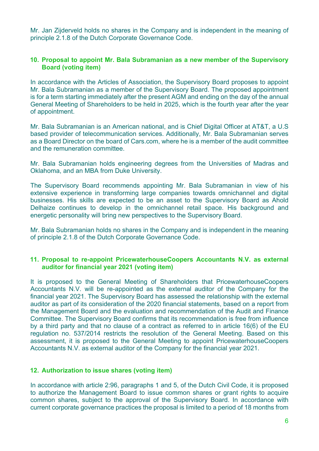Mr. Jan Zijderveld holds no shares in the Company and is independent in the meaning of principle 2.1.8 of the Dutch Corporate Governance Code.

#### **10. Proposal to appoint Mr. Bala Subramanian as a new member of the Supervisory Board (voting item)**

In accordance with the Articles of Association, the Supervisory Board proposes to appoint Mr. Bala Subramanian as a member of the Supervisory Board. The proposed appointment is for a term starting immediately after the present AGM and ending on the day of the annual General Meeting of Shareholders to be held in 2025, which is the fourth year after the year of appointment.

Mr. Bala Subramanian is an American national, and is Chief Digital Officer at AT&T, a U.S based provider of telecommunication services. Additionally, Mr. Bala Subramanian serves as a Board Director on the board of Cars.com, where he is a member of the audit committee and the remuneration committee.

Mr. Bala Subramanian holds engineering degrees from the Universities of Madras and Oklahoma, and an MBA from Duke University.

The Supervisory Board recommends appointing Mr. Bala Subramanian in view of his extensive experience in transforming large companies towards omnichannel and digital businesses. His skills are expected to be an asset to the Supervisory Board as Ahold Delhaize continues to develop in the omnichannel retail space. His background and energetic personality will bring new perspectives to the Supervisory Board.

Mr. Bala Subramanian holds no shares in the Company and is independent in the meaning of principle 2.1.8 of the Dutch Corporate Governance Code.

#### **11. Proposal to re-appoint PricewaterhouseCoopers Accountants N.V. as external auditor for financial year 2021 (voting item)**

It is proposed to the General Meeting of Shareholders that PricewaterhouseCoopers Accountants N.V. will be re-appointed as the external auditor of the Company for the financial year 2021. The Supervisory Board has assessed the relationship with the external auditor as part of its consideration of the 2020 financial statements, based on a report from the Management Board and the evaluation and recommendation of the Audit and Finance Committee. The Supervisory Board confirms that its recommendation is free from influence by a third party and that no clause of a contract as referred to in article 16(6) of the EU regulation no. 537/2014 restricts the resolution of the General Meeting. Based on this assessment, it is proposed to the General Meeting to appoint PricewaterhouseCoopers Accountants N.V. as external auditor of the Company for the financial year 2021.

#### **12. Authorization to issue shares (voting item)**

In accordance with article 2:96, paragraphs 1 and 5, of the Dutch Civil Code, it is proposed to authorize the Management Board to issue common shares or grant rights to acquire common shares, subject to the approval of the Supervisory Board. In accordance with current corporate governance practices the proposal is limited to a period of 18 months from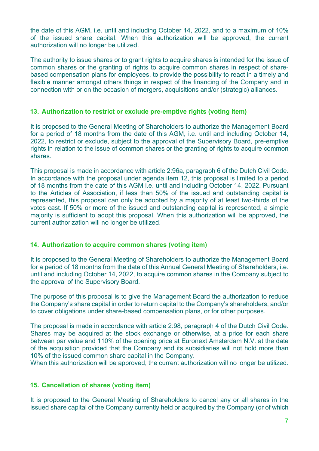the date of this AGM, i.e. until and including October 14, 2022, and to a maximum of 10% of the issued share capital. When this authorization will be approved, the current authorization will no longer be utilized.

The authority to issue shares or to grant rights to acquire shares is intended for the issue of common shares or the granting of rights to acquire common shares in respect of sharebased compensation plans for employees, to provide the possibility to react in a timely and flexible manner amongst others things in respect of the financing of the Company and in connection with or on the occasion of mergers, acquisitions and/or (strategic) alliances.

#### **13. Authorization to restrict or exclude pre-emptive rights (voting item)**

It is proposed to the General Meeting of Shareholders to authorize the Management Board for a period of 18 months from the date of this AGM, i.e. until and including October 14, 2022, to restrict or exclude, subject to the approval of the Supervisory Board, pre-emptive rights in relation to the issue of common shares or the granting of rights to acquire common shares.

This proposal is made in accordance with article 2:96a, paragraph 6 of the Dutch Civil Code. In accordance with the proposal under agenda item 12, this proposal is limited to a period of 18 months from the date of this AGM i.e. until and including October 14, 2022. Pursuant to the Articles of Association, if less than 50% of the issued and outstanding capital is represented, this proposal can only be adopted by a majority of at least two-thirds of the votes cast. If 50% or more of the issued and outstanding capital is represented, a simple majority is sufficient to adopt this proposal. When this authorization will be approved, the current authorization will no longer be utilized.

#### **14. Authorization to acquire common shares (voting item)**

It is proposed to the General Meeting of Shareholders to authorize the Management Board for a period of 18 months from the date of this Annual General Meeting of Shareholders, i.e. until and including October 14, 2022, to acquire common shares in the Company subject to the approval of the Supervisory Board.

The purpose of this proposal is to give the Management Board the authorization to reduce the Company's share capital in order to return capital to the Company's shareholders, and/or to cover obligations under share-based compensation plans, or for other purposes.

The proposal is made in accordance with article 2:98, paragraph 4 of the Dutch Civil Code. Shares may be acquired at the stock exchange or otherwise, at a price for each share between par value and 110% of the opening price at Euronext Amsterdam N.V. at the date of the acquisition provided that the Company and its subsidiaries will not hold more than 10% of the issued common share capital in the Company.

When this authorization will be approved, the current authorization will no longer be utilized.

#### **15. Cancellation of shares (voting item)**

It is proposed to the General Meeting of Shareholders to cancel any or all shares in the issued share capital of the Company currently held or acquired by the Company (or of which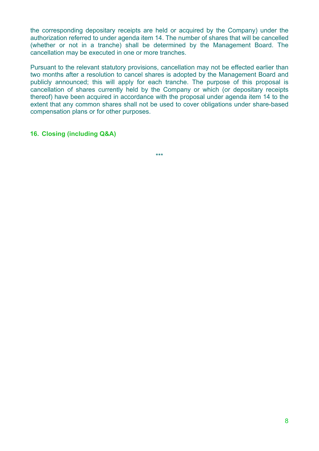the corresponding depositary receipts are held or acquired by the Company) under the authorization referred to under agenda item 14. The number of shares that will be cancelled (whether or not in a tranche) shall be determined by the Management Board. The cancellation may be executed in one or more tranches.

Pursuant to the relevant statutory provisions, cancellation may not be effected earlier than two months after a resolution to cancel shares is adopted by the Management Board and publicly announced; this will apply for each tranche. The purpose of this proposal is cancellation of shares currently held by the Company or which (or depositary receipts thereof) have been acquired in accordance with the proposal under agenda item 14 to the extent that any common shares shall not be used to cover obligations under share-based compensation plans or for other purposes.

#### **16. Closing (including Q&A)**

\*\*\*